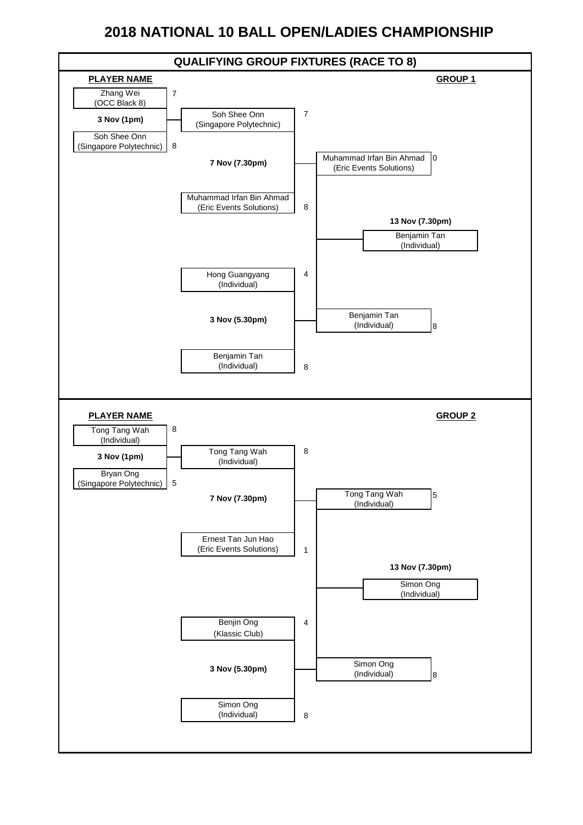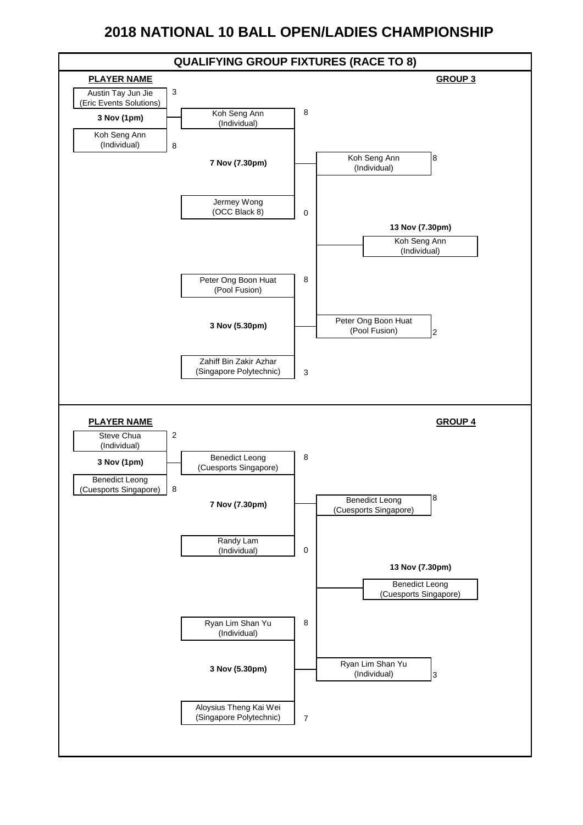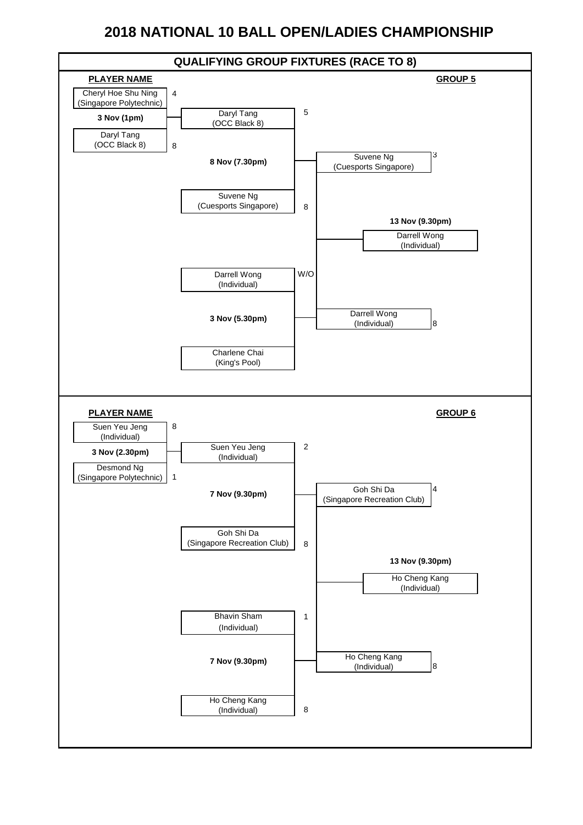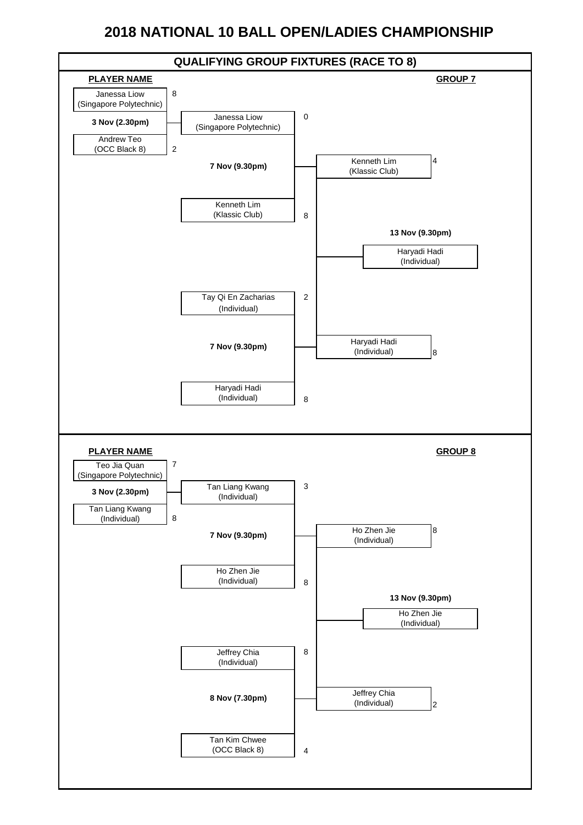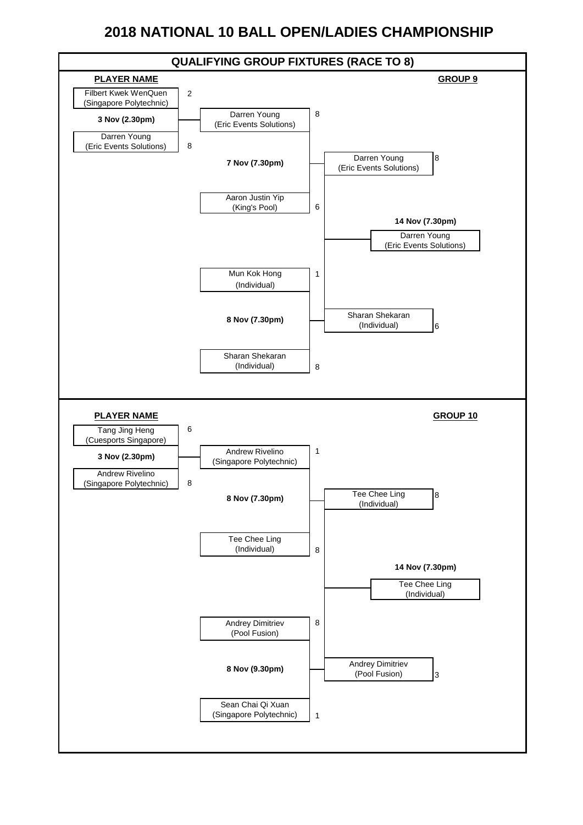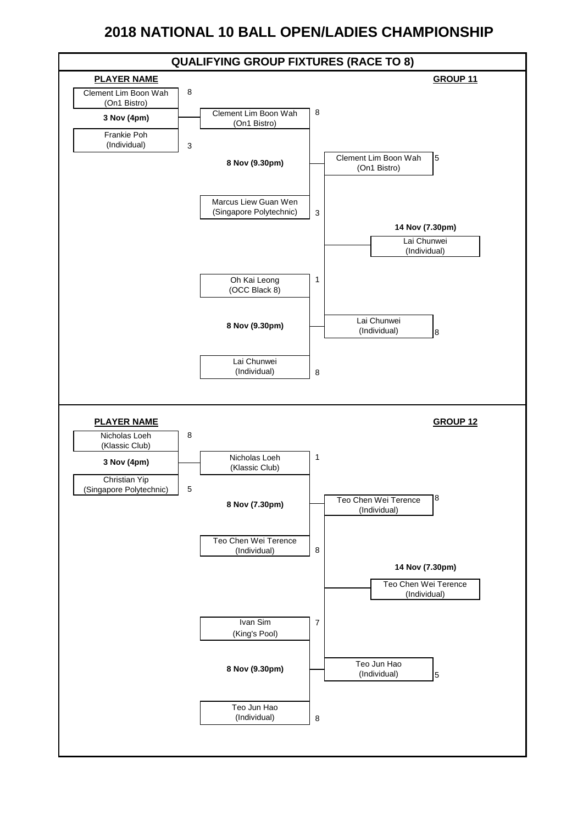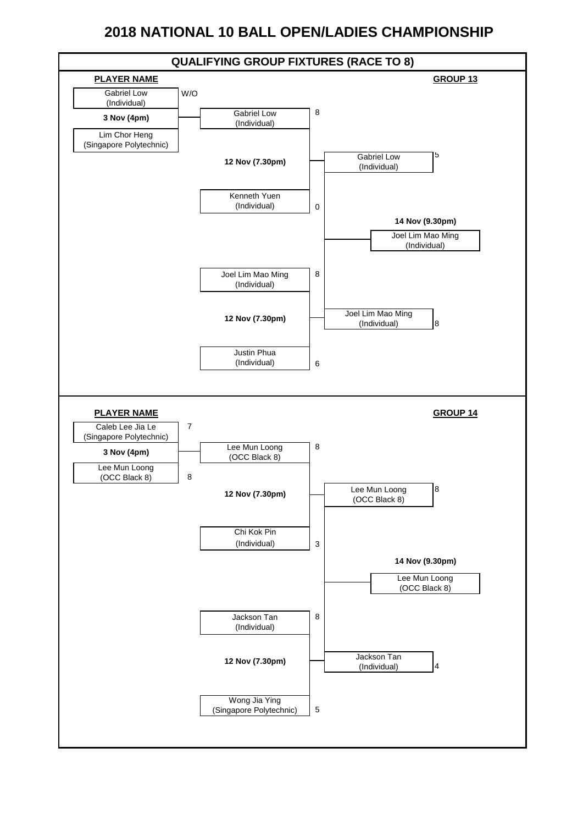